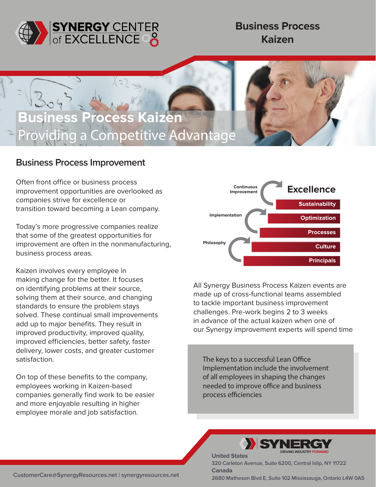

## **Business Process Kaizen**

## **Business Process Kaizen Competitive Advantage**

## **Business Process Improvement**

Often front office or business process improvement opportunities are overlooked as companies strive for excellence or transition toward becoming a Lean company.

Today's more progressive companies realize that some of the greatest opportunities for improvement are often in the nonmanufacturing, business process areas.

Kaizen involves every employee in making change for the better. It focuses on identifying problems at their source, solving them at their source, and changing standards to ensure the problem stays solved. These continual small improvements add up to major benefits. They result in improved productivity, improved quality, improved efficiencies, better safety, faster delivery, lower costs, and greater customer satisfaction.

On top of these benefits to the company, employees working in Kaizen-based companies generally find work to be easier and more enjoyable resulting in higher employee morale and job satisfaction.



All Synergy Business Process Kaizen events are made up of cross-functional teams assembled to tackle important business improvement challenges. Pre-work begins 2 to 3 weeks in advance of the actual kaizen when one of our Synergy improvement experts will spend time

The keys to a successful Lean Office Implementation include the involvement of all employees in shaping the changes needed to improve office and business process efficiencies



**320 Carleton Avenue, Suite 6200, Central Islip, NY 11722 Canada**

**2680 Matheson Blvd E, Suite 102 Mississauga, Ontario L4W 0A5 CustomerCare@SynergyResources.net | synergyresources.net**